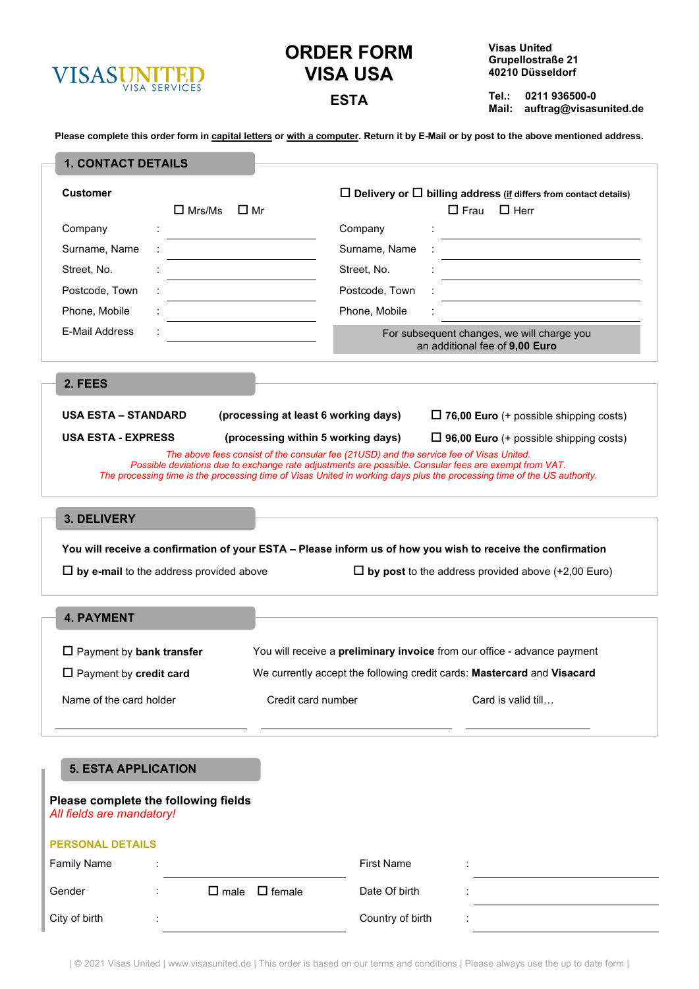

# **ORDER FORM VISA USA**

**Visas United Grupellostraße 21 40210 Düsseldorf**

**Tel.: 0211 936500-0 Mail: auftrag@visasunited.de ESTA**

**Please complete this order form in capital letters or with a computer. Return it by E-Mail or by post to the above mentioned address.**

| <b>Customer</b>                                                                                                                                                                                                                                                                                                                                                                                                                                  | $\Box$ Mrs/Ms                                  | $\Box$ Mr                                                                                                   | $\Box$ Delivery or $\Box$ billing address (if differs from contact details)<br>$\Box$ Frau $\Box$ Herr |  |  |
|--------------------------------------------------------------------------------------------------------------------------------------------------------------------------------------------------------------------------------------------------------------------------------------------------------------------------------------------------------------------------------------------------------------------------------------------------|------------------------------------------------|-------------------------------------------------------------------------------------------------------------|--------------------------------------------------------------------------------------------------------|--|--|
| Company                                                                                                                                                                                                                                                                                                                                                                                                                                          |                                                | Company                                                                                                     |                                                                                                        |  |  |
| Surname, Name                                                                                                                                                                                                                                                                                                                                                                                                                                    |                                                | Surname, Name                                                                                               |                                                                                                        |  |  |
| Street, No.                                                                                                                                                                                                                                                                                                                                                                                                                                      |                                                | Street, No.                                                                                                 |                                                                                                        |  |  |
| Postcode, Town                                                                                                                                                                                                                                                                                                                                                                                                                                   |                                                | Postcode, Town                                                                                              |                                                                                                        |  |  |
| Phone, Mobile                                                                                                                                                                                                                                                                                                                                                                                                                                    |                                                | Phone, Mobile                                                                                               |                                                                                                        |  |  |
| E-Mail Address                                                                                                                                                                                                                                                                                                                                                                                                                                   |                                                |                                                                                                             | For subsequent changes, we will charge you<br>an additional fee of 9,00 Euro                           |  |  |
| 2. FEES                                                                                                                                                                                                                                                                                                                                                                                                                                          |                                                |                                                                                                             |                                                                                                        |  |  |
| <b>USA ESTA - EXPRESS</b><br>(processing within 5 working days)<br>$\Box$ 96,00 Euro (+ possible shipping costs)<br>The above fees consist of the consular fee (21USD) and the service fee of Visas United.<br>Possible deviations due to exchange rate adjustments are possible. Consular fees are exempt from VAT.<br>The processing time is the processing time of Visas United in working days plus the processing time of the US authority. |                                                |                                                                                                             |                                                                                                        |  |  |
| 3. DELIVERY                                                                                                                                                                                                                                                                                                                                                                                                                                      |                                                |                                                                                                             |                                                                                                        |  |  |
|                                                                                                                                                                                                                                                                                                                                                                                                                                                  |                                                |                                                                                                             |                                                                                                        |  |  |
|                                                                                                                                                                                                                                                                                                                                                                                                                                                  |                                                | You will receive a confirmation of your ESTA - Please inform us of how you wish to receive the confirmation |                                                                                                        |  |  |
|                                                                                                                                                                                                                                                                                                                                                                                                                                                  | $\Box$ by e-mail to the address provided above |                                                                                                             | $\Box$ by post to the address provided above (+2,00 Euro)                                              |  |  |
| <b>4. PAYMENT</b>                                                                                                                                                                                                                                                                                                                                                                                                                                |                                                |                                                                                                             |                                                                                                        |  |  |
| $\Box$ Payment by bank transfer                                                                                                                                                                                                                                                                                                                                                                                                                  |                                                | You will receive a preliminary invoice from our office - advance payment                                    |                                                                                                        |  |  |
| $\Box$ Payment by credit card                                                                                                                                                                                                                                                                                                                                                                                                                    |                                                | We currently accept the following credit cards: Mastercard and Visacard                                     |                                                                                                        |  |  |

# **5. ESTA APPLICATION**

| Please complete the following fields<br>All fields are mandatory! |                      |                |               |                   |   |  |  |
|-------------------------------------------------------------------|----------------------|----------------|---------------|-------------------|---|--|--|
| <b>PERSONAL DETAILS</b>                                           |                      |                |               |                   |   |  |  |
| <b>Family Name</b>                                                | $\ddot{\phantom{a}}$ |                |               | <b>First Name</b> | ٠ |  |  |
| Gender                                                            | $\cdot$              | $\square$ male | $\Box$ female | Date Of birth     |   |  |  |
| City of birth                                                     | $\cdot$              |                |               | Country of birth  |   |  |  |

| © 2021 Visas United | www.visasunited.de | This order is based on our terms and conditions | Please always use the up to date form |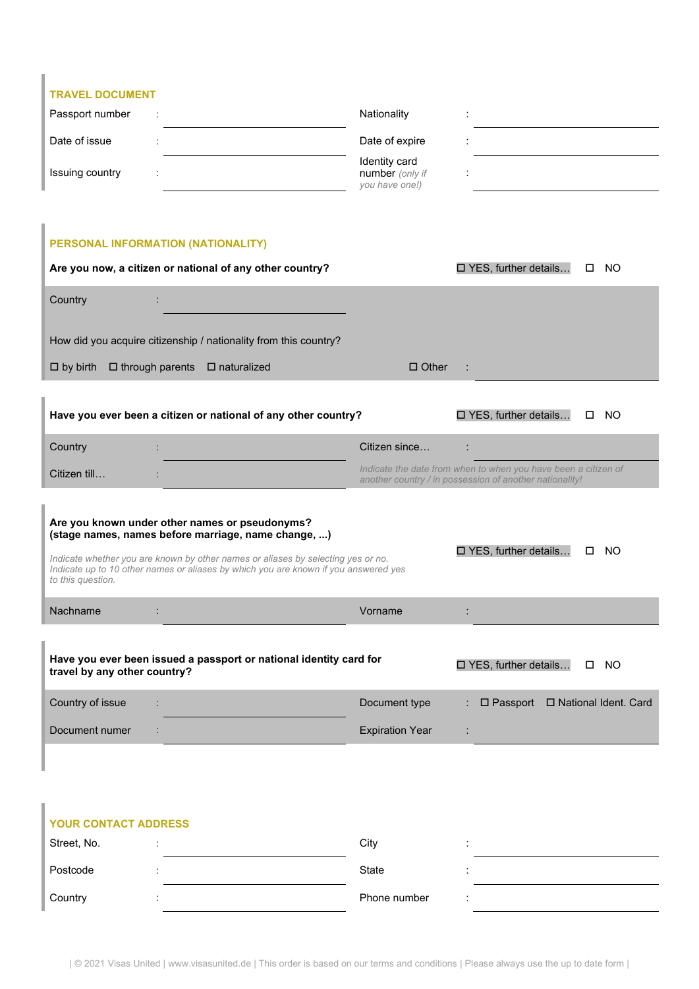| <b>TRAVEL DOCUMENT</b> |                      |                                                    |  |  |  |
|------------------------|----------------------|----------------------------------------------------|--|--|--|
| Passport number        | $\cdot$              | Nationality                                        |  |  |  |
| Date of issue          |                      | Date of expire                                     |  |  |  |
| Issuing country        | $\ddot{\phantom{a}}$ | Identity card<br>number (only if<br>you have one!) |  |  |  |

# **PERSONAL INFORMATION (NATIONALITY)**

| Are you now, a citizen or national of any other country?                                              | $\square$ YES, further details<br><b>NO</b><br>П.                                                                         |  |  |  |  |  |
|-------------------------------------------------------------------------------------------------------|---------------------------------------------------------------------------------------------------------------------------|--|--|--|--|--|
| Country                                                                                               |                                                                                                                           |  |  |  |  |  |
| How did you acquire citizenship / nationality from this country?                                      |                                                                                                                           |  |  |  |  |  |
| $\Box$ through parents<br>$\Box$ by birth<br>$\Box$ naturalized                                       | $\Box$ Other                                                                                                              |  |  |  |  |  |
|                                                                                                       |                                                                                                                           |  |  |  |  |  |
| Have you ever been a citizen or national of any other country?                                        | □ YES, further details<br>NO.<br>0                                                                                        |  |  |  |  |  |
| Country                                                                                               | Citizen since                                                                                                             |  |  |  |  |  |
| Citizen till                                                                                          | Indicate the date from when to when you have been a citizen of<br>another country / in possession of another nationality! |  |  |  |  |  |
|                                                                                                       |                                                                                                                           |  |  |  |  |  |
| Are you known under other names or pseudonyms?<br>(stage names, names before marriage, name change, ) |                                                                                                                           |  |  |  |  |  |

*Indicate whether you are known by other names or aliases by selecting yes or no. Indicate up to 10 other names or aliases by which you are known if you answered yes to this question.*

| <b>Nachname</b>              |                                                                    | Vorname |                                       |  |
|------------------------------|--------------------------------------------------------------------|---------|---------------------------------------|--|
| travel by any other country? | Have you ever been issued a passport or national identity card for |         | $\Box$ YES, further details $\Box$ NO |  |

□ YES, further details... □ NO

| Country of issue | Document type          |  | $\Box$ Passport $\Box$ National Ident. Card |
|------------------|------------------------|--|---------------------------------------------|
| Document numer   | <b>Expiration Year</b> |  |                                             |

# **YOUR CONTACT ADDRESS**

| Street, No. | City         |  |
|-------------|--------------|--|
| Postcode    | State        |  |
| Country     | Phone number |  |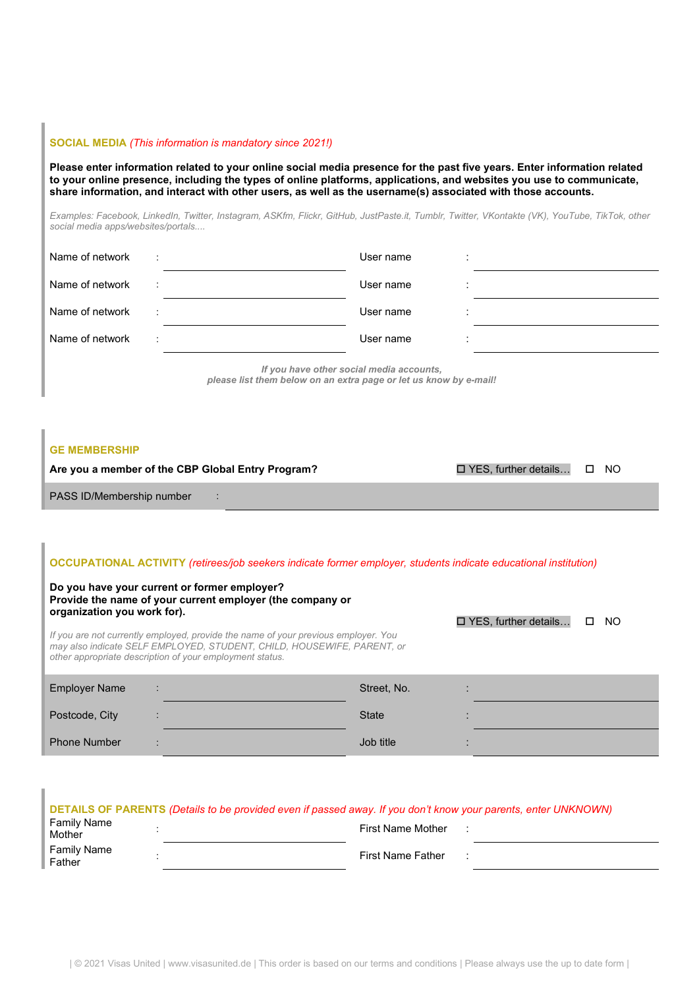#### **SOCIAL MEDIA** *(This information is mandatory since 2021!)*

**Please enter information related to your online social media presence for the past five years. Enter information related to your online presence, including the types of online platforms, applications, and websites you use to communicate, share information, and interact with other users, as well as the username(s) associated with those accounts.**

*Examples: Facebook, LinkedIn, Twitter, Instagram, ASKfm, Flickr, GitHub, JustPaste.it, Tumblr, Twitter, VKontakte (VK), YouTube, TikTok, other social media apps/websites/portals....*

| Name of network | - 11       | User name                                                                                                                                                                                                                           | ٠       |  |
|-----------------|------------|-------------------------------------------------------------------------------------------------------------------------------------------------------------------------------------------------------------------------------------|---------|--|
| Name of network | $\sim 100$ | User name                                                                                                                                                                                                                           | $\cdot$ |  |
| Name of network | - 11       | User name                                                                                                                                                                                                                           | $\cdot$ |  |
| Name of network | ÷          | User name                                                                                                                                                                                                                           | $\cdot$ |  |
|                 |            | $\overline{a}$ , and the contract of the contract of the contract of the contract of the contract of the contract of the contract of the contract of the contract of the contract of the contract of the contract of the contract o |         |  |

*If you have other social media accounts, please list them below on an extra page or let us know by e-mail!* 

#### **GE MEMBERSHIP**

| Are you a member of the CBP Global Entry Program? | $\Box$ YES, further details $\Box$ NO |  |
|---------------------------------------------------|---------------------------------------|--|
| PASS ID/Membership number                         |                                       |  |

#### **OCCUPATIONAL ACTIVITY** *(retirees/job seekers indicate former employer, students indicate educational institution)*

#### **Do you have your current or former employer? Provide the name of your current employer (the company or organization you work for).**

*If you are not currently employed, provide the name of your previous employer. You may also indicate SELF EMPLOYED, STUDENT, CHILD, HOUSEWIFE, PARENT, or other appropriate description of your employment status.*

| <b>Employer Name</b> | ÷                 | Street, No.  |  |
|----------------------|-------------------|--------------|--|
| Postcode, City       |                   | <b>State</b> |  |
| <b>Phone Number</b>  | ٠<br>$\mathbf{r}$ | Job title    |  |

□ YES, further details... □ NO

| DETAILS OF PARENTS (Details to be provided even if passed away. If you don't know your parents, enter UNKNOWN) |                          |  |  |  |  |  |
|----------------------------------------------------------------------------------------------------------------|--------------------------|--|--|--|--|--|
| Family Name<br>Mother                                                                                          | <b>First Name Mother</b> |  |  |  |  |  |
| Family Name<br>Father                                                                                          | <b>First Name Father</b> |  |  |  |  |  |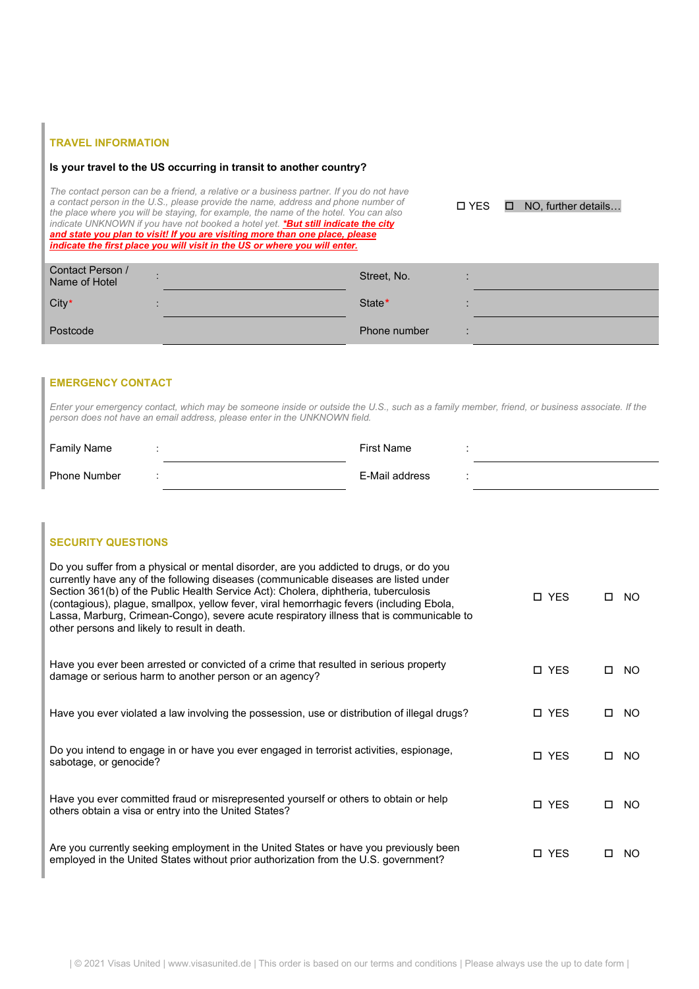## **TRAVEL INFORMATION**

#### **Is your travel to the US occurring in transit to another country?**

*The contact person can be a friend, a relative or a business partner. If you do not have a contact person in the U.S., please provide the name, address and phone number of the place where you will be staying, for example, the name of the hotel. You can also indicate UNKNOWN if you have not booked a hotel yet. \*But still indicate the city and state you plan to visit! If you are visiting more than one place, please indicate the first place you will visit in the US or where you will enter.*

YES NO, further details…

| Contact Person /<br>Name of Hotel | Street, No.  |  |
|-----------------------------------|--------------|--|
| City*                             | State*       |  |
| Postcode                          | Phone number |  |

## **EMERGENCY CONTACT**

*Enter your emergency contact, which may be someone inside or outside the U.S., such as a family member, friend, or business associate. If the person does not have an email address, please enter in the UNKNOWN field.*

| <b>Family Name</b>  | First Name     |  |
|---------------------|----------------|--|
| <b>Phone Number</b> | E-Mail address |  |

## **SECURITY QUESTIONS**

| Do you suffer from a physical or mental disorder, are you addicted to drugs, or do you<br>currently have any of the following diseases (communicable diseases are listed under<br>Section 361(b) of the Public Health Service Act): Cholera, diphtheria, tuberculosis<br>(contagious), plague, smallpox, yellow fever, viral hemorrhagic fevers (including Ebola,<br>Lassa, Marburg, Crimean-Congo), severe acute respiratory illness that is communicable to<br>other persons and likely to result in death. | <b>D</b> YES | П  | NO. |
|---------------------------------------------------------------------------------------------------------------------------------------------------------------------------------------------------------------------------------------------------------------------------------------------------------------------------------------------------------------------------------------------------------------------------------------------------------------------------------------------------------------|--------------|----|-----|
| Have you ever been arrested or convicted of a crime that resulted in serious property<br>damage or serious harm to another person or an agency?                                                                                                                                                                                                                                                                                                                                                               | <b>D</b> YES | П  | NO. |
| Have you ever violated a law involving the possession, use or distribution of illegal drugs?                                                                                                                                                                                                                                                                                                                                                                                                                  | □ YES        | П. | NO. |
| Do you intend to engage in or have you ever engaged in terrorist activities, espionage,<br>sabotage, or genocide?                                                                                                                                                                                                                                                                                                                                                                                             | <b>D</b> YES | П  | NO. |
| Have you ever committed fraud or misrepresented yourself or others to obtain or help<br>others obtain a visa or entry into the United States?                                                                                                                                                                                                                                                                                                                                                                 | <b>D</b> YES | П  | NO. |
| Are you currently seeking employment in the United States or have you previously been<br>employed in the United States without prior authorization from the U.S. government?                                                                                                                                                                                                                                                                                                                                  | □ YES        |    | NO. |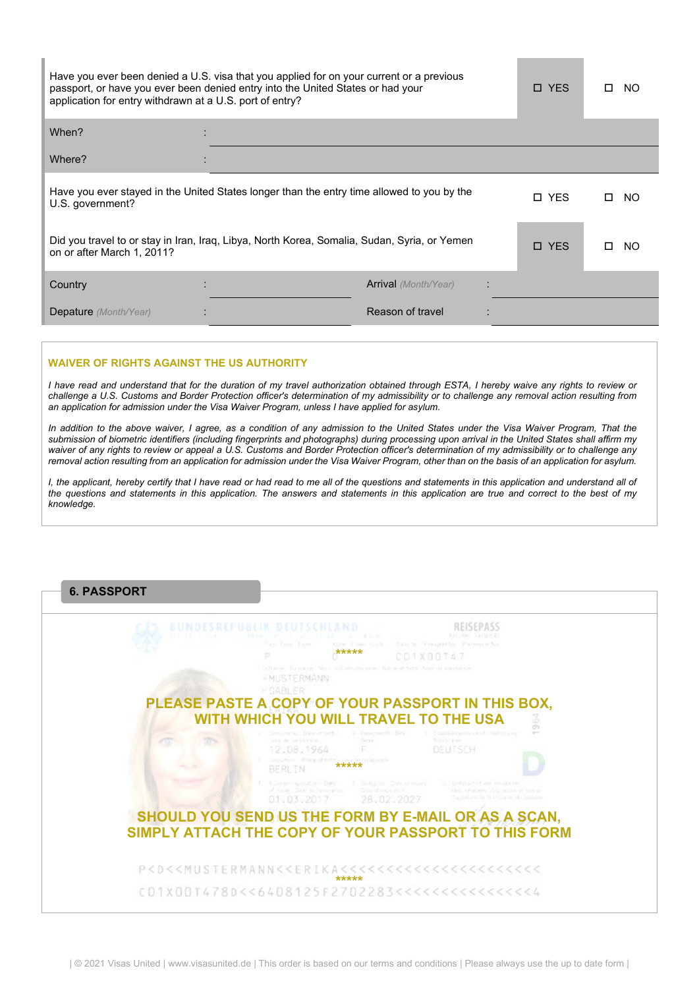| application for entry withdrawn at a U.S. port of entry? | Have you ever been denied a U.S. visa that you applied for on your current or a previous<br>passport, or have you ever been denied entry into the United States or had your |                             | <b>D</b> YES | NO.<br>п.  |
|----------------------------------------------------------|-----------------------------------------------------------------------------------------------------------------------------------------------------------------------------|-----------------------------|--------------|------------|
| When?                                                    |                                                                                                                                                                             |                             |              |            |
| Where?                                                   |                                                                                                                                                                             |                             |              |            |
| U.S. government?                                         | Have you ever stayed in the United States longer than the entry time allowed to you by the                                                                                  |                             | <b>D</b> YES | NO.<br>п   |
| on or after March 1, 2011?                               | Did you travel to or stay in Iran, Iraq, Libya, North Korea, Somalia, Sudan, Syria, or Yemen                                                                                |                             | □ YES        | NO.<br>l I |
| Country                                                  |                                                                                                                                                                             | <b>Arrival</b> (Month/Year) |              |            |
| <b>Depature</b> (Month/Year)                             |                                                                                                                                                                             | Reason of travel            |              |            |

#### **WAIVER OF RIGHTS AGAINST THE US AUTHORITY**

*I have read and understand that for the duration of my travel authorization obtained through ESTA, I hereby waive any rights to review or challenge a U.S. Customs and Border Protection officer's determination of my admissibility or to challenge any removal action resulting from an application for admission under the Visa Waiver Program, unless I have applied for asylum.*

*In addition to the above waiver, I agree, as a condition of any admission to the United States under the Visa Waiver Program, That the submission of biometric identifiers (including fingerprints and photographs) during processing upon arrival in the United States shall affirm my waiver of any rights to review or appeal a U.S. Customs and Border Protection officer's determination of my admissibility or to challenge any removal action resulting from an application for admission under the Visa Waiver Program, other than on the basis of an application for asylum.*

*I, the applicant, hereby certify that I have read or had read to me all of the questions and statements in this application and understand all of the questions and statements in this application. The answers and statements in this application are true and correct to the best of my knowledge.*

|                                                                                                                                         | <b>BUNDESREPUBLIK DEUTSCHLAND</b><br><b>ENTER USING PROVIDED AND A BUILDING</b>                                             |                             |                                                                         |         |
|-----------------------------------------------------------------------------------------------------------------------------------------|-----------------------------------------------------------------------------------------------------------------------------|-----------------------------|-------------------------------------------------------------------------|---------|
|                                                                                                                                         | Non Type Type :                                                                                                             | Kenie Code Code -<br>*****  | Flatsunger: Chinesport No. Parcelept of No.<br>COTXBOT47                |         |
|                                                                                                                                         | Надъявлен Буллавте. Non millomaganamer Nome of bitts: hom or вальзаное<br><b>AMUSTERMANN</b>                                |                             |                                                                         |         |
| PLEASE PASTE A COPY OF YOUR PASSPORT IN THIS BOX,                                                                                       | <b>MGABLER</b>                                                                                                              |                             |                                                                         |         |
|                                                                                                                                         | WITH WHICH YOU WILL TRAVEL TO THE USA                                                                                       |                             |                                                                         | 3<br>Ö) |
| <b>CO</b><br><b>TAN</b>                                                                                                                 | SPOUTSING CONTROLLED<br>Auto de llabaldeado.<br>12.08.1964                                                                  | 4 Genchinchi (Sett)<br>Sour | 5 - Staatsangehörigkeit - had crusely<br>Acabón a los<br><b>DEUTSCH</b> |         |
|                                                                                                                                         | Geburtent - Place of biffhis wea de nintennos<br><b>BERLIN</b>                                                              | *****                       |                                                                         |         |
|                                                                                                                                         | 7. Aussialianusquitanii Dare  8 Gulbo bis - Date of expire  10 Underschich der Innabelin<br>of accus " Sare de Beveraisse." | Date of magnitude in        | shots influstrated. Grip within in the wide                             |         |
|                                                                                                                                         | 01.03.2017 28.02.2027                                                                                                       |                             | Supportune de la literative de Ideologie                                |         |
| SHOULD YOU SEND US THE FORM BY E-MAIL OR AS A SCAN,                                                                                     |                                                                                                                             |                             |                                                                         |         |
| SIMPLY ATTACH THE COPY OF YOUR PASSPORT TO THIS FORM                                                                                    |                                                                                                                             |                             |                                                                         |         |
|                                                                                                                                         |                                                                                                                             |                             |                                                                         |         |
| P <d<<mustermann<<erika<<<<<<<<<<<<<<<<<<<<<<< td=""><td></td><td></td><td></td><td></td></d<<mustermann<<erika<<<<<<<<<<<<<<<<<<<<<<<> |                                                                                                                             |                             |                                                                         |         |